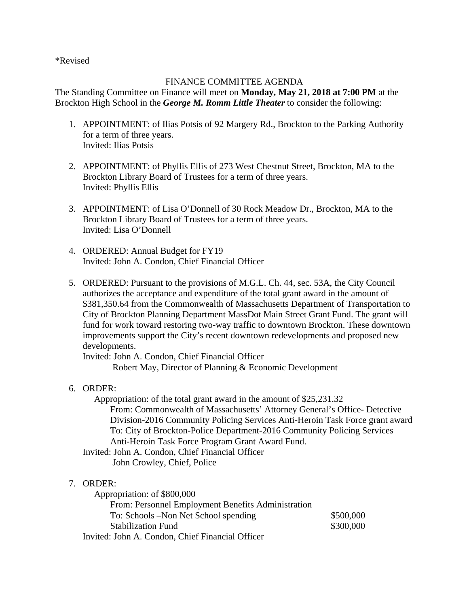\*Revised

## FINANCE COMMITTEE AGENDA

The Standing Committee on Finance will meet on **Monday, May 21, 2018 at 7:00 PM** at the Brockton High School in the *George M. Romm Little Theater* to consider the following:

- 1. APPOINTMENT: of Ilias Potsis of 92 Margery Rd., Brockton to the Parking Authority for a term of three years. Invited: Ilias Potsis
- 2. APPOINTMENT: of Phyllis Ellis of 273 West Chestnut Street, Brockton, MA to the Brockton Library Board of Trustees for a term of three years. Invited: Phyllis Ellis
- 3. APPOINTMENT: of Lisa O'Donnell of 30 Rock Meadow Dr., Brockton, MA to the Brockton Library Board of Trustees for a term of three years. Invited: Lisa O'Donnell
- 4. ORDERED: Annual Budget for FY19 Invited: John A. Condon, Chief Financial Officer
- 5. ORDERED: Pursuant to the provisions of M.G.L. Ch. 44, sec. 53A, the City Council authorizes the acceptance and expenditure of the total grant award in the amount of \$381,350.64 from the Commonwealth of Massachusetts Department of Transportation to City of Brockton Planning Department MassDot Main Street Grant Fund. The grant will fund for work toward restoring two-way traffic to downtown Brockton. These downtown improvements support the City's recent downtown redevelopments and proposed new developments.

Invited: John A. Condon, Chief Financial Officer Robert May, Director of Planning & Economic Development

## 6. ORDER:

 Appropriation: of the total grant award in the amount of \$25,231.32 From: Commonwealth of Massachusetts' Attorney General's Office- Detective Division-2016 Community Policing Services Anti-Heroin Task Force grant award To: City of Brockton-Police Department-2016 Community Policing Services Anti-Heroin Task Force Program Grant Award Fund.

 Invited: John A. Condon, Chief Financial Officer John Crowley, Chief, Police

## 7. ORDER:

 Appropriation: of \$800,000 From: Personnel Employment Benefits Administration To: Schools –Non Net School spending \$500,000 Stabilization Fund \$300,000 Invited: John A. Condon, Chief Financial Officer